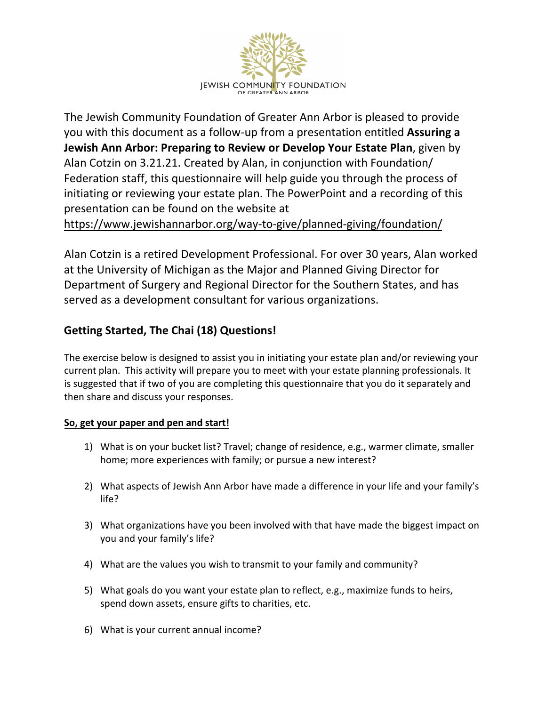

The Jewish Community Foundation of Greater Ann Arbor is pleased to provide you with this document as a follow-up from a presentation entitled **Assuring a Jewish Ann Arbor: Preparing to Review or Develop Your Estate Plan**, given by Alan Cotzin on 3.21.21. Created by Alan, in conjunction with Foundation/ Federation staff, this questionnaire will help guide you through the process of initiating or reviewing your estate plan. The PowerPoint and a recording of this [presentation can](https://www.jewishannarbor.org/way-to-give/planned-giving/foundation/) be found on the website at

https://www.jewishannarbor.org/way-to-give/planned-giving/foundation/

Alan Cotzin is a retired Development Professional. For over 30 years, Alan worked at the University of Michigan as the Major and Planned Giving Director for Department of Surgery and Regional Director for the Southern States, and has served as a development consultant for various organizations.

## **Getting Started, The Chai (18) Questions!**

The exercise below is designed to assist you in initiating your estate plan and/or reviewing your current plan. This activity will prepare you to meet with your estate planning professionals. It is suggested that if two of you are completing this questionnaire that you do it separately and then share and discuss your responses.

## **So, get your paper and pen and start!**

- 1) What is on your bucket list? Travel; change of residence, e.g., warmer climate, smaller home; more experiences with family; or pursue a new interest?
- 2) What aspects of Jewish Ann Arbor have made a difference in your life and your family's life?
- 3) What organizations have you been involved with that have made the biggest impact on you and your family's life?
- 4) What are the values you wish to transmit to your family and community?
- 5) What goals do you want your estate plan to reflect, e.g., maximize funds to heirs, spend down assets, ensure gifts to charities, etc.
- 6) What is your current annual income?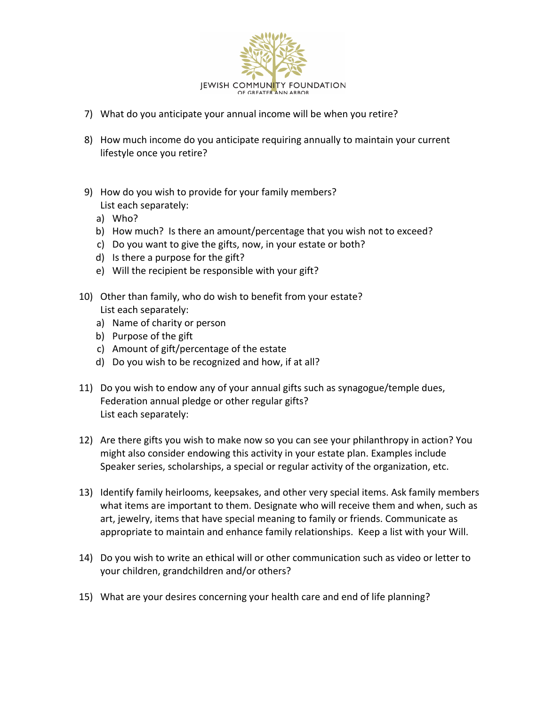

- 7) What do you anticipate your annual income will be when you retire?
- 8) How much income do you anticipate requiring annually to maintain your current lifestyle once you retire?
- 9) How do you wish to provide for your family members? List each separately:
	- a) Who?
	- b) How much? Is there an amount/percentage that you wish not to exceed?
	- c) Do you want to give the gifts, now, in your estate or both?
	- d) Is there a purpose for the gift?
	- e) Will the recipient be responsible with your gift?
- 10) Other than family, who do wish to benefit from your estate? List each separately:
	- a) Name of charity or person
	- b) Purpose of the gift
	- c) Amount of gift/percentage of the estate
	- d) Do you wish to be recognized and how, if at all?
- 11) Do you wish to endow any of your annual gifts such as synagogue/temple dues, Federation annual pledge or other regular gifts? List each separately:
- 12) Are there gifts you wish to make now so you can see your philanthropy in action? You might also consider endowing this activity in your estate plan. Examples include Speaker series, scholarships, a special or regular activity of the organization, etc.
- 13) Identify family heirlooms, keepsakes, and other very special items. Ask family members what items are important to them. Designate who will receive them and when, such as art, jewelry, items that have special meaning to family or friends. Communicate as appropriate to maintain and enhance family relationships. Keep a list with your Will.
- 14) Do you wish to write an ethical will or other communication such as video or letter to your children, grandchildren and/or others?
- 15) What are your desires concerning your health care and end of life planning?